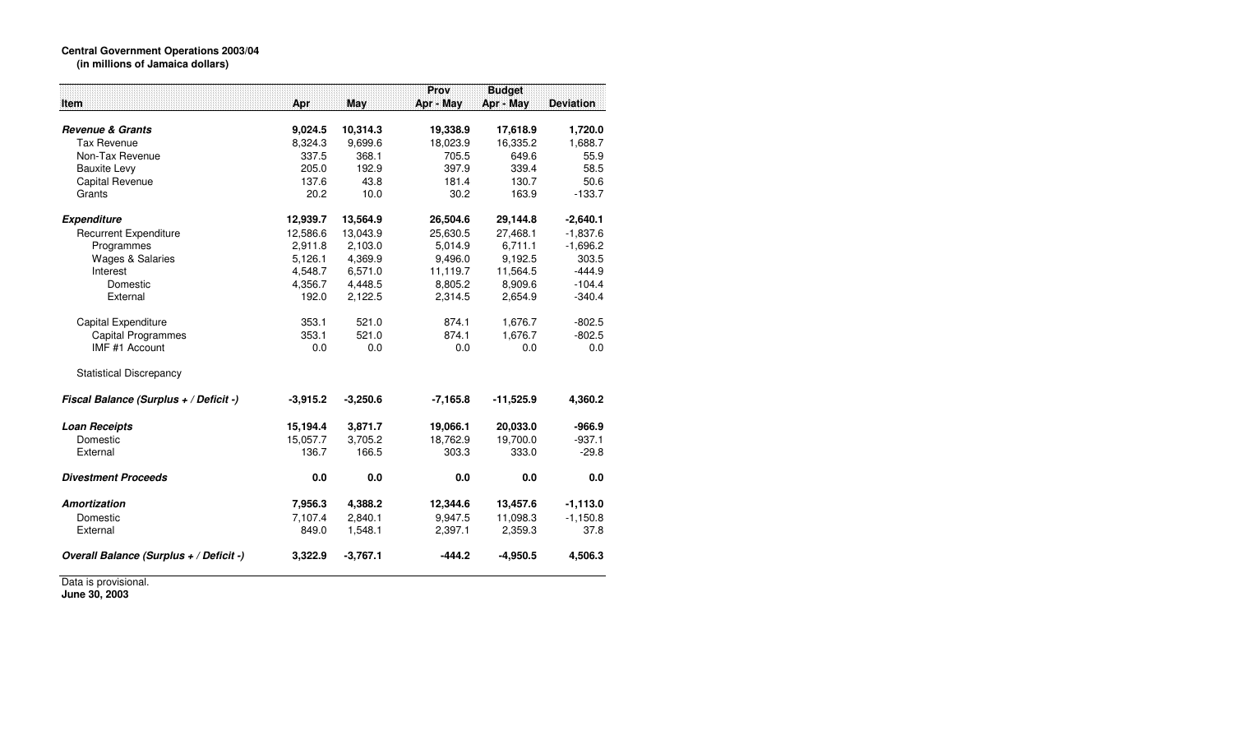## **Central Government Operations 2003/04 (in millions of Jamaica dollars)**

|                                         |            |            | Prov       | <b>Budget</b> |                  |
|-----------------------------------------|------------|------------|------------|---------------|------------------|
| <b>Item</b>                             | Apr        | <b>May</b> | Apr - May  | Apr - May     | <b>Deviation</b> |
|                                         |            |            |            |               |                  |
| <b>Revenue &amp; Grants</b>             | 9,024.5    | 10,314.3   | 19,338.9   | 17,618.9      | 1,720.0          |
| <b>Tax Revenue</b>                      | 8,324.3    | 9,699.6    | 18,023.9   | 16,335.2      | 1,688.7          |
| Non-Tax Revenue                         | 337.5      | 368.1      | 705.5      | 649.6         | 55.9             |
| <b>Bauxite Levy</b>                     | 205.0      | 192.9      | 397.9      | 339.4         | 58.5             |
| Capital Revenue                         | 137.6      | 43.8       | 181.4      | 130.7         | 50.6             |
| Grants                                  | 20.2       | 10.0       | 30.2       | 163.9         | $-133.7$         |
| <b>Expenditure</b>                      | 12,939.7   | 13,564.9   | 26,504.6   | 29,144.8      | $-2,640.1$       |
| <b>Recurrent Expenditure</b>            | 12,586.6   | 13,043.9   | 25,630.5   | 27,468.1      | $-1,837.6$       |
| Programmes                              | 2,911.8    | 2,103.0    | 5,014.9    | 6,711.1       | $-1,696.2$       |
| <b>Wages &amp; Salaries</b>             | 5,126.1    | 4,369.9    | 9,496.0    | 9,192.5       | 303.5            |
| Interest                                | 4,548.7    | 6,571.0    | 11,119.7   | 11,564.5      | $-444.9$         |
| Domestic                                | 4,356.7    | 4,448.5    | 8,805.2    | 8,909.6       | $-104.4$         |
| External                                | 192.0      | 2,122.5    | 2,314.5    | 2,654.9       | $-340.4$         |
| Capital Expenditure                     | 353.1      | 521.0      | 874.1      | 1,676.7       | $-802.5$         |
| <b>Capital Programmes</b>               | 353.1      | 521.0      | 874.1      | 1,676.7       | $-802.5$         |
| IMF #1 Account                          | 0.0        | 0.0        | 0.0        | 0.0           | 0.0              |
| <b>Statistical Discrepancy</b>          |            |            |            |               |                  |
| Fiscal Balance (Surplus + / Deficit -)  | $-3,915.2$ | $-3,250.6$ | $-7,165.8$ | $-11,525.9$   | 4,360.2          |
| <b>Loan Receipts</b>                    | 15,194.4   | 3,871.7    | 19,066.1   | 20,033.0      | $-966.9$         |
| Domestic                                | 15,057.7   | 3,705.2    | 18,762.9   | 19,700.0      | $-937.1$         |
| External                                | 136.7      | 166.5      | 303.3      | 333.0         | $-29.8$          |
| <b>Divestment Proceeds</b>              | 0.0        | 0.0        | 0.0        | 0.0           | 0.0              |
| <b>Amortization</b>                     | 7,956.3    | 4,388.2    | 12,344.6   | 13,457.6      | $-1,113.0$       |
| Domestic                                | 7,107.4    | 2,840.1    | 9,947.5    | 11,098.3      | $-1,150.8$       |
| External                                | 849.0      | 1,548.1    | 2,397.1    | 2,359.3       | 37.8             |
| Overall Balance (Surplus + / Deficit -) | 3,322.9    | $-3,767.1$ | $-444.2$   | $-4,950.5$    | 4,506.3          |

Data is provisional. **June 30, 2003**